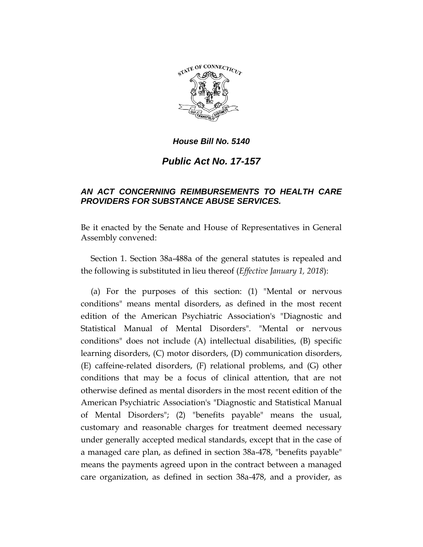

# *Public Act No. 17-157*

## *AN ACT CONCERNING REIMBURSEMENTS TO HEALTH CARE PROVIDERS FOR SUBSTANCE ABUSE SERVICES.*

Be it enacted by the Senate and House of Representatives in General Assembly convened:

Section 1. Section 38a-488a of the general statutes is repealed and the following is substituted in lieu thereof (*Effective January 1, 2018*):

(a) For the purposes of this section: (1) "Mental or nervous conditions" means mental disorders, as defined in the most recent edition of the American Psychiatric Association's "Diagnostic and Statistical Manual of Mental Disorders". "Mental or nervous conditions" does not include (A) intellectual disabilities, (B) specific learning disorders, (C) motor disorders, (D) communication disorders, (E) caffeine-related disorders, (F) relational problems, and (G) other conditions that may be a focus of clinical attention, that are not otherwise defined as mental disorders in the most recent edition of the American Psychiatric Association's "Diagnostic and Statistical Manual of Mental Disorders"; (2) "benefits payable" means the usual, customary and reasonable charges for treatment deemed necessary under generally accepted medical standards, except that in the case of a managed care plan, as defined in section 38a-478, "benefits payable" means the payments agreed upon in the contract between a managed care organization, as defined in section 38a-478, and a provider, as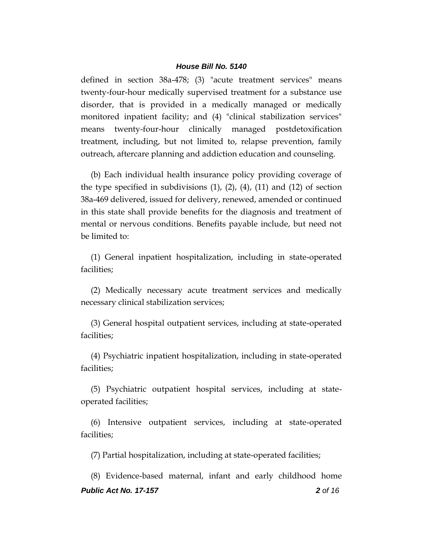defined in section 38a-478; (3) "acute treatment services" means twenty-four-hour medically supervised treatment for a substance use disorder, that is provided in a medically managed or medically monitored inpatient facility; and (4) "clinical stabilization services" means twenty-four-hour clinically managed postdetoxification treatment, including, but not limited to, relapse prevention, family outreach, aftercare planning and addiction education and counseling.

(b) Each individual health insurance policy providing coverage of the type specified in subdivisions  $(1)$ ,  $(2)$ ,  $(4)$ ,  $(11)$  and  $(12)$  of section 38a-469 delivered, issued for delivery, renewed, amended or continued in this state shall provide benefits for the diagnosis and treatment of mental or nervous conditions. Benefits payable include, but need not be limited to:

(1) General inpatient hospitalization, including in state-operated facilities;

(2) Medically necessary acute treatment services and medically necessary clinical stabilization services;

(3) General hospital outpatient services, including at state-operated facilities;

(4) Psychiatric inpatient hospitalization, including in state-operated facilities;

(5) Psychiatric outpatient hospital services, including at stateoperated facilities;

(6) Intensive outpatient services, including at state-operated facilities;

(7) Partial hospitalization, including at state-operated facilities;

*Public Act No. 17-157 2 of 16* (8) Evidence-based maternal, infant and early childhood home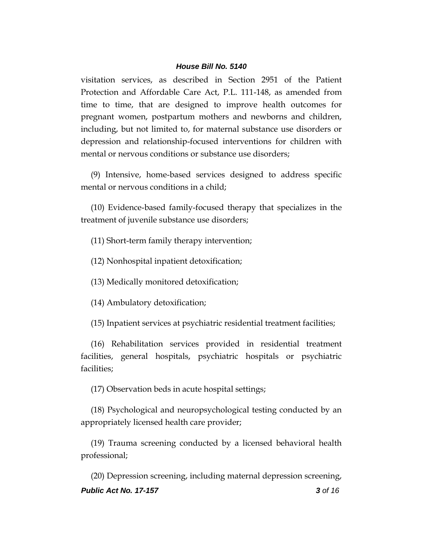visitation services, as described in Section 2951 of the Patient Protection and Affordable Care Act, P.L. 111-148, as amended from time to time, that are designed to improve health outcomes for pregnant women, postpartum mothers and newborns and children, including, but not limited to, for maternal substance use disorders or depression and relationship-focused interventions for children with mental or nervous conditions or substance use disorders;

(9) Intensive, home-based services designed to address specific mental or nervous conditions in a child;

(10) Evidence-based family-focused therapy that specializes in the treatment of juvenile substance use disorders;

(11) Short-term family therapy intervention;

(12) Nonhospital inpatient detoxification;

(13) Medically monitored detoxification;

(14) Ambulatory detoxification;

(15) Inpatient services at psychiatric residential treatment facilities;

(16) Rehabilitation services provided in residential treatment facilities, general hospitals, psychiatric hospitals or psychiatric facilities;

(17) Observation beds in acute hospital settings;

(18) Psychological and neuropsychological testing conducted by an appropriately licensed health care provider;

(19) Trauma screening conducted by a licensed behavioral health professional;

*Public Act No. 17-157 3 of 16* (20) Depression screening, including maternal depression screening,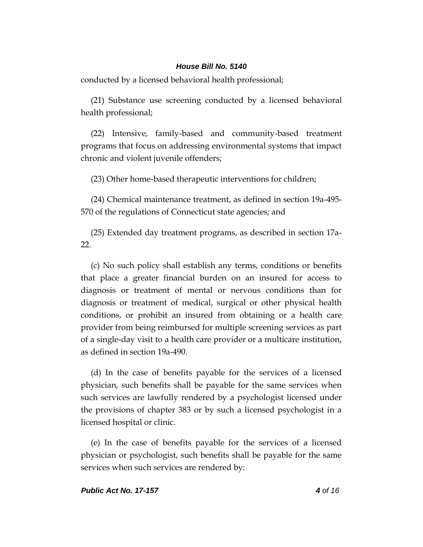conducted by a licensed behavioral health professional;

(21) Substance use screening conducted by a licensed behavioral health professional;

(22) Intensive, family-based and community-based treatment programs that focus on addressing environmental systems that impact chronic and violent juvenile offenders;

(23) Other home-based therapeutic interventions for children;

(24) Chemical maintenance treatment, as defined in section 19a-495- 570 of the regulations of Connecticut state agencies; and

(25) Extended day treatment programs, as described in section 17a- $22.$ 

(c) No such policy shall establish any terms, conditions or benefits that place a greater financial burden on an insured for access to diagnosis or treatment of mental or nervous conditions than for diagnosis or treatment of medical, surgical or other physical health conditions, or prohibit an insured from obtaining or a health care provider from being reimbursed for multiple screening services as part of a single-day visit to a health care provider or a multicare institution, as defined in section 19a-490.

(d) In the case of benefits payable for the services of a licensed physician, such benefits shall be payable for the same services when such services are lawfully rendered by a psychologist licensed under the provisions of chapter 383 or by such a licensed psychologist in a licensed hospital or clinic.

(e) In the case of benefits payable for the services of a licensed physician or psychologist, such benefits shall be payable for the same services when such services are rendered by: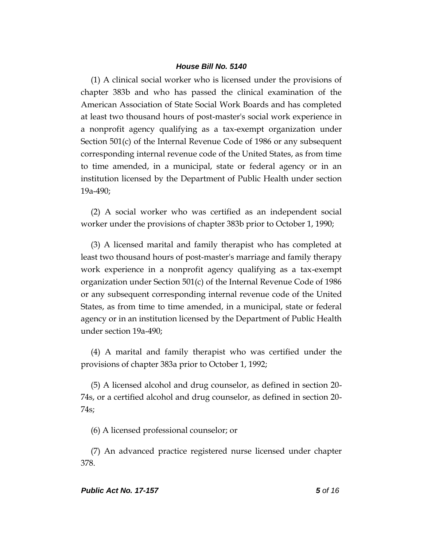(1) A clinical social worker who is licensed under the provisions of chapter 383b and who has passed the clinical examination of the American Association of State Social Work Boards and has completed at least two thousand hours of post-master's social work experience in a nonprofit agency qualifying as a tax-exempt organization under Section 501(c) of the Internal Revenue Code of 1986 or any subsequent corresponding internal revenue code of the United States, as from time to time amended, in a municipal, state or federal agency or in an institution licensed by the Department of Public Health under section 19a-490;

(2) A social worker who was certified as an independent social worker under the provisions of chapter 383b prior to October 1, 1990;

(3) A licensed marital and family therapist who has completed at least two thousand hours of post-master's marriage and family therapy work experience in a nonprofit agency qualifying as a tax-exempt organization under Section 501(c) of the Internal Revenue Code of 1986 or any subsequent corresponding internal revenue code of the United States, as from time to time amended, in a municipal, state or federal agency or in an institution licensed by the Department of Public Health under section 19a-490;

(4) A marital and family therapist who was certified under the provisions of chapter 383a prior to October 1, 1992;

(5) A licensed alcohol and drug counselor, as defined in section 20- 74s, or a certified alcohol and drug counselor, as defined in section 20- 74s;

(6) A licensed professional counselor; or

(7) An advanced practice registered nurse licensed under chapter 378.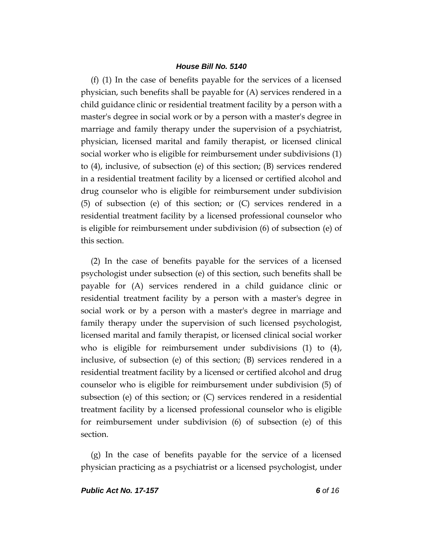(f) (1) In the case of benefits payable for the services of a licensed physician, such benefits shall be payable for (A) services rendered in a child guidance clinic or residential treatment facility by a person with a master's degree in social work or by a person with a master's degree in marriage and family therapy under the supervision of a psychiatrist, physician, licensed marital and family therapist, or licensed clinical social worker who is eligible for reimbursement under subdivisions (1) to (4), inclusive, of subsection (e) of this section; (B) services rendered in a residential treatment facility by a licensed or certified alcohol and drug counselor who is eligible for reimbursement under subdivision (5) of subsection (e) of this section; or (C) services rendered in a residential treatment facility by a licensed professional counselor who is eligible for reimbursement under subdivision (6) of subsection (e) of this section.

(2) In the case of benefits payable for the services of a licensed psychologist under subsection (e) of this section, such benefits shall be payable for (A) services rendered in a child guidance clinic or residential treatment facility by a person with a master's degree in social work or by a person with a master's degree in marriage and family therapy under the supervision of such licensed psychologist, licensed marital and family therapist, or licensed clinical social worker who is eligible for reimbursement under subdivisions (1) to (4), inclusive, of subsection (e) of this section; (B) services rendered in a residential treatment facility by a licensed or certified alcohol and drug counselor who is eligible for reimbursement under subdivision (5) of subsection (e) of this section; or (C) services rendered in a residential treatment facility by a licensed professional counselor who is eligible for reimbursement under subdivision (6) of subsection (e) of this section.

(g) In the case of benefits payable for the service of a licensed physician practicing as a psychiatrist or a licensed psychologist, under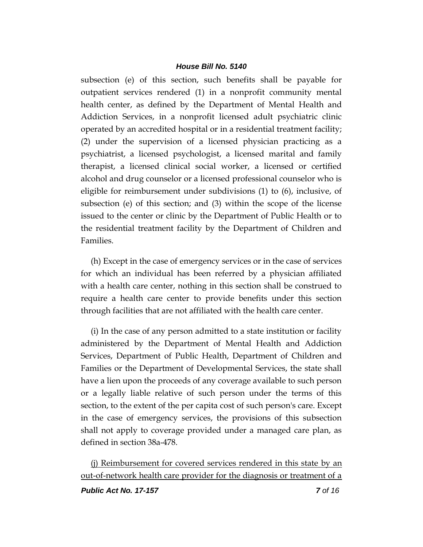subsection (e) of this section, such benefits shall be payable for outpatient services rendered (1) in a nonprofit community mental health center, as defined by the Department of Mental Health and Addiction Services, in a nonprofit licensed adult psychiatric clinic operated by an accredited hospital or in a residential treatment facility; (2) under the supervision of a licensed physician practicing as a psychiatrist, a licensed psychologist, a licensed marital and family therapist, a licensed clinical social worker, a licensed or certified alcohol and drug counselor or a licensed professional counselor who is eligible for reimbursement under subdivisions (1) to (6), inclusive, of subsection (e) of this section; and (3) within the scope of the license issued to the center or clinic by the Department of Public Health or to the residential treatment facility by the Department of Children and Families.

(h) Except in the case of emergency services or in the case of services for which an individual has been referred by a physician affiliated with a health care center, nothing in this section shall be construed to require a health care center to provide benefits under this section through facilities that are not affiliated with the health care center.

(i) In the case of any person admitted to a state institution or facility administered by the Department of Mental Health and Addiction Services, Department of Public Health, Department of Children and Families or the Department of Developmental Services, the state shall have a lien upon the proceeds of any coverage available to such person or a legally liable relative of such person under the terms of this section, to the extent of the per capita cost of such person's care. Except in the case of emergency services, the provisions of this subsection shall not apply to coverage provided under a managed care plan, as defined in section 38a-478.

(j) Reimbursement for covered services rendered in this state by an out-of-network health care provider for the diagnosis or treatment of a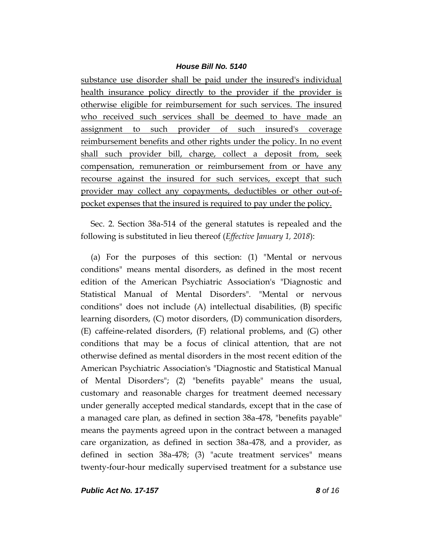substance use disorder shall be paid under the insured's individual health insurance policy directly to the provider if the provider is otherwise eligible for reimbursement for such services. The insured who received such services shall be deemed to have made an assignment to such provider of such insured's coverage reimbursement benefits and other rights under the policy. In no event shall such provider bill, charge, collect a deposit from, seek compensation, remuneration or reimbursement from or have any recourse against the insured for such services, except that such provider may collect any copayments, deductibles or other out-ofpocket expenses that the insured is required to pay under the policy.

Sec. 2. Section 38a-514 of the general statutes is repealed and the following is substituted in lieu thereof (*Effective January 1, 2018*):

(a) For the purposes of this section: (1) "Mental or nervous conditions" means mental disorders, as defined in the most recent edition of the American Psychiatric Association's "Diagnostic and Statistical Manual of Mental Disorders". "Mental or nervous conditions" does not include (A) intellectual disabilities, (B) specific learning disorders, (C) motor disorders, (D) communication disorders, (E) caffeine-related disorders, (F) relational problems, and (G) other conditions that may be a focus of clinical attention, that are not otherwise defined as mental disorders in the most recent edition of the American Psychiatric Association's "Diagnostic and Statistical Manual of Mental Disorders"; (2) "benefits payable" means the usual, customary and reasonable charges for treatment deemed necessary under generally accepted medical standards, except that in the case of a managed care plan, as defined in section 38a-478, "benefits payable" means the payments agreed upon in the contract between a managed care organization, as defined in section 38a-478, and a provider, as defined in section 38a-478; (3) "acute treatment services" means twenty-four-hour medically supervised treatment for a substance use

*Public Act No. 17-157 8 of 16*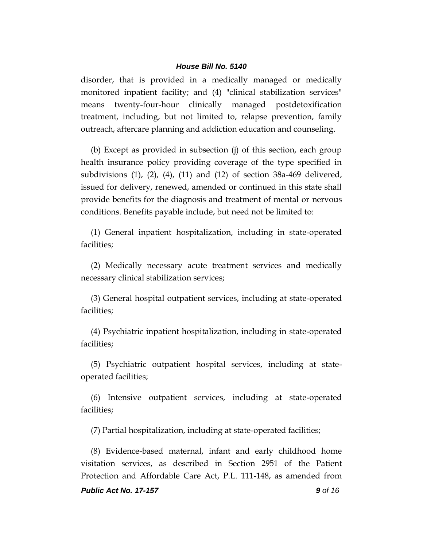disorder, that is provided in a medically managed or medically monitored inpatient facility; and (4) "clinical stabilization services" means twenty-four-hour clinically managed postdetoxification treatment, including, but not limited to, relapse prevention, family outreach, aftercare planning and addiction education and counseling.

(b) Except as provided in subsection (j) of this section, each group health insurance policy providing coverage of the type specified in subdivisions (1), (2), (4), (11) and (12) of section 38a-469 delivered, issued for delivery, renewed, amended or continued in this state shall provide benefits for the diagnosis and treatment of mental or nervous conditions. Benefits payable include, but need not be limited to:

(1) General inpatient hospitalization, including in state-operated facilities;

(2) Medically necessary acute treatment services and medically necessary clinical stabilization services;

(3) General hospital outpatient services, including at state-operated facilities;

(4) Psychiatric inpatient hospitalization, including in state-operated facilities;

(5) Psychiatric outpatient hospital services, including at stateoperated facilities;

(6) Intensive outpatient services, including at state-operated facilities;

(7) Partial hospitalization, including at state-operated facilities;

(8) Evidence-based maternal, infant and early childhood home visitation services, as described in Section 2951 of the Patient Protection and Affordable Care Act, P.L. 111-148, as amended from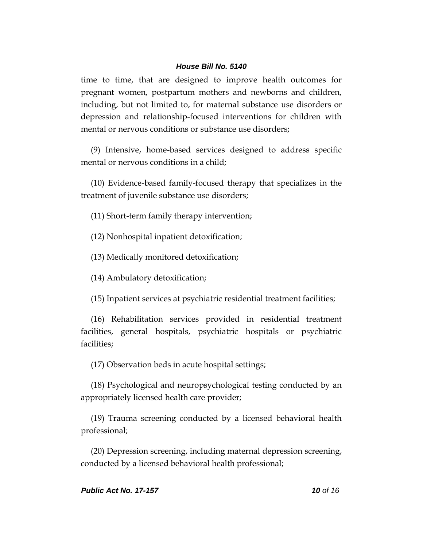time to time, that are designed to improve health outcomes for pregnant women, postpartum mothers and newborns and children, including, but not limited to, for maternal substance use disorders or depression and relationship-focused interventions for children with mental or nervous conditions or substance use disorders;

(9) Intensive, home-based services designed to address specific mental or nervous conditions in a child;

(10) Evidence-based family-focused therapy that specializes in the treatment of juvenile substance use disorders;

(11) Short-term family therapy intervention;

(12) Nonhospital inpatient detoxification;

(13) Medically monitored detoxification;

(14) Ambulatory detoxification;

(15) Inpatient services at psychiatric residential treatment facilities;

(16) Rehabilitation services provided in residential treatment facilities, general hospitals, psychiatric hospitals or psychiatric facilities;

(17) Observation beds in acute hospital settings;

(18) Psychological and neuropsychological testing conducted by an appropriately licensed health care provider;

(19) Trauma screening conducted by a licensed behavioral health professional;

(20) Depression screening, including maternal depression screening, conducted by a licensed behavioral health professional;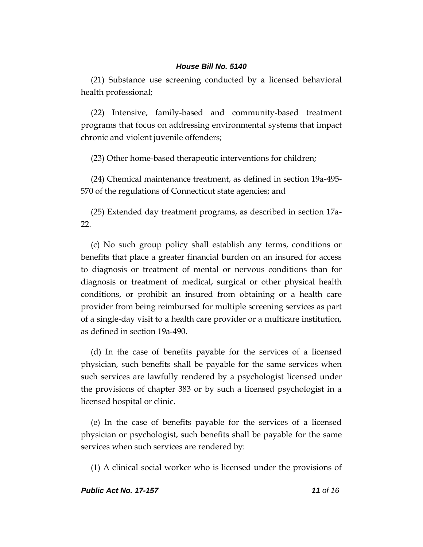(21) Substance use screening conducted by a licensed behavioral health professional;

(22) Intensive, family-based and community-based treatment programs that focus on addressing environmental systems that impact chronic and violent juvenile offenders;

(23) Other home-based therapeutic interventions for children;

(24) Chemical maintenance treatment, as defined in section 19a-495- 570 of the regulations of Connecticut state agencies; and

(25) Extended day treatment programs, as described in section 17a-22.

(c) No such group policy shall establish any terms, conditions or benefits that place a greater financial burden on an insured for access to diagnosis or treatment of mental or nervous conditions than for diagnosis or treatment of medical, surgical or other physical health conditions, or prohibit an insured from obtaining or a health care provider from being reimbursed for multiple screening services as part of a single-day visit to a health care provider or a multicare institution, as defined in section 19a-490.

(d) In the case of benefits payable for the services of a licensed physician, such benefits shall be payable for the same services when such services are lawfully rendered by a psychologist licensed under the provisions of chapter 383 or by such a licensed psychologist in a licensed hospital or clinic.

(e) In the case of benefits payable for the services of a licensed physician or psychologist, such benefits shall be payable for the same services when such services are rendered by:

(1) A clinical social worker who is licensed under the provisions of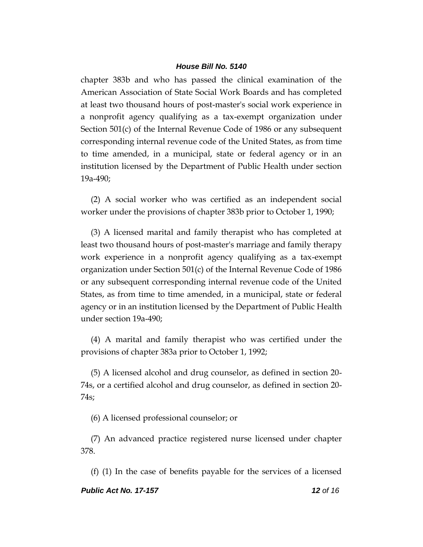chapter 383b and who has passed the clinical examination of the American Association of State Social Work Boards and has completed at least two thousand hours of post-master's social work experience in a nonprofit agency qualifying as a tax-exempt organization under Section 501(c) of the Internal Revenue Code of 1986 or any subsequent corresponding internal revenue code of the United States, as from time to time amended, in a municipal, state or federal agency or in an institution licensed by the Department of Public Health under section 19a-490;

(2) A social worker who was certified as an independent social worker under the provisions of chapter 383b prior to October 1, 1990;

(3) A licensed marital and family therapist who has completed at least two thousand hours of post-master's marriage and family therapy work experience in a nonprofit agency qualifying as a tax-exempt organization under Section 501(c) of the Internal Revenue Code of 1986 or any subsequent corresponding internal revenue code of the United States, as from time to time amended, in a municipal, state or federal agency or in an institution licensed by the Department of Public Health under section 19a-490;

(4) A marital and family therapist who was certified under the provisions of chapter 383a prior to October 1, 1992;

(5) A licensed alcohol and drug counselor, as defined in section 20- 74s, or a certified alcohol and drug counselor, as defined in section 20- 74s;

(6) A licensed professional counselor; or

(7) An advanced practice registered nurse licensed under chapter 378.

(f) (1) In the case of benefits payable for the services of a licensed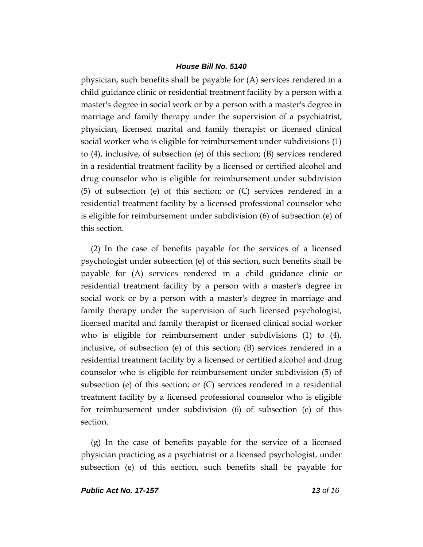physician, such benefits shall be payable for (A) services rendered in a child guidance clinic or residential treatment facility by a person with a master's degree in social work or by a person with a master's degree in marriage and family therapy under the supervision of a psychiatrist, physician, licensed marital and family therapist or licensed clinical social worker who is eligible for reimbursement under subdivisions (1) to (4), inclusive, of subsection (e) of this section; (B) services rendered in a residential treatment facility by a licensed or certified alcohol and drug counselor who is eligible for reimbursement under subdivision (5) of subsection (e) of this section; or (C) services rendered in a residential treatment facility by a licensed professional counselor who is eligible for reimbursement under subdivision (6) of subsection (e) of this section.

(2) In the case of benefits payable for the services of a licensed psychologist under subsection (e) of this section, such benefits shall be payable for (A) services rendered in a child guidance clinic or residential treatment facility by a person with a master's degree in social work or by a person with a master's degree in marriage and family therapy under the supervision of such licensed psychologist, licensed marital and family therapist or licensed clinical social worker who is eligible for reimbursement under subdivisions (1) to (4), inclusive, of subsection (e) of this section; (B) services rendered in a residential treatment facility by a licensed or certified alcohol and drug counselor who is eligible for reimbursement under subdivision (5) of subsection (e) of this section; or (C) services rendered in a residential treatment facility by a licensed professional counselor who is eligible for reimbursement under subdivision (6) of subsection (e) of this section.

(g) In the case of benefits payable for the service of a licensed physician practicing as a psychiatrist or a licensed psychologist, under subsection (e) of this section, such benefits shall be payable for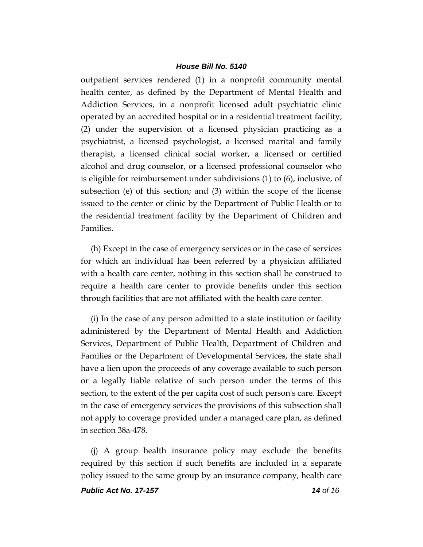outpatient services rendered (1) in a nonprofit community mental health center, as defined by the Department of Mental Health and Addiction Services, in a nonprofit licensed adult psychiatric clinic operated by an accredited hospital or in a residential treatment facility; (2) under the supervision of a licensed physician practicing as a psychiatrist, a licensed psychologist, a licensed marital and family therapist, a licensed clinical social worker, a licensed or certified alcohol and drug counselor, or a licensed professional counselor who is eligible for reimbursement under subdivisions (1) to (6), inclusive, of subsection (e) of this section; and (3) within the scope of the license issued to the center or clinic by the Department of Public Health or to the residential treatment facility by the Department of Children and Families.

(h) Except in the case of emergency services or in the case of services for which an individual has been referred by a physician affiliated with a health care center, nothing in this section shall be construed to require a health care center to provide benefits under this section through facilities that are not affiliated with the health care center.

(i) In the case of any person admitted to a state institution or facility administered by the Department of Mental Health and Addiction Services, Department of Public Health, Department of Children and Families or the Department of Developmental Services, the state shall have a lien upon the proceeds of any coverage available to such person or a legally liable relative of such person under the terms of this section, to the extent of the per capita cost of such person's care. Except in the case of emergency services the provisions of this subsection shall not apply to coverage provided under a managed care plan, as defined in section 38a-478.

(j) A group health insurance policy may exclude the benefits required by this section if such benefits are included in a separate policy issued to the same group by an insurance company, health care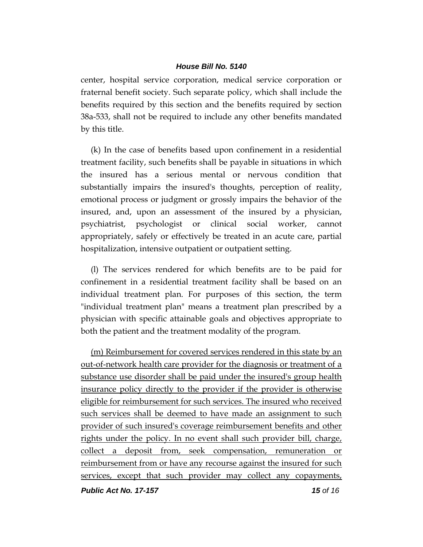center, hospital service corporation, medical service corporation or fraternal benefit society. Such separate policy, which shall include the benefits required by this section and the benefits required by section 38a-533, shall not be required to include any other benefits mandated by this title.

(k) In the case of benefits based upon confinement in a residential treatment facility, such benefits shall be payable in situations in which the insured has a serious mental or nervous condition that substantially impairs the insured's thoughts, perception of reality, emotional process or judgment or grossly impairs the behavior of the insured, and, upon an assessment of the insured by a physician, psychiatrist, psychologist or clinical social worker, cannot appropriately, safely or effectively be treated in an acute care, partial hospitalization, intensive outpatient or outpatient setting.

(l) The services rendered for which benefits are to be paid for confinement in a residential treatment facility shall be based on an individual treatment plan. For purposes of this section, the term "individual treatment plan" means a treatment plan prescribed by a physician with specific attainable goals and objectives appropriate to both the patient and the treatment modality of the program.

(m) Reimbursement for covered services rendered in this state by an out-of-network health care provider for the diagnosis or treatment of a substance use disorder shall be paid under the insured's group health insurance policy directly to the provider if the provider is otherwise eligible for reimbursement for such services. The insured who received such services shall be deemed to have made an assignment to such provider of such insured's coverage reimbursement benefits and other rights under the policy. In no event shall such provider bill, charge, collect a deposit from, seek compensation, remuneration or reimbursement from or have any recourse against the insured for such services, except that such provider may collect any copayments,

*Public Act No. 17-157 15 of 16*